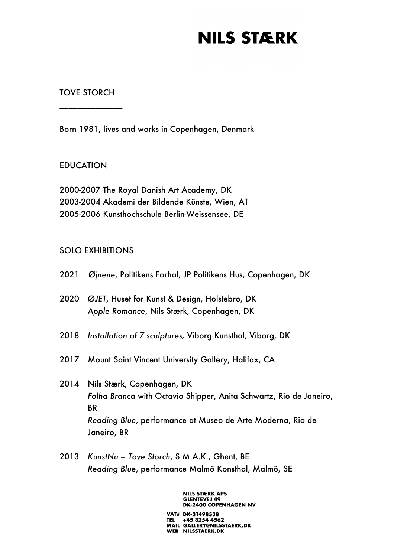#### TOVE STORCH

\_\_\_\_\_\_\_\_\_\_\_\_\_\_

Born 1981, lives and works in Copenhagen, Denmark

### EDUCATION

2000-2007 The Royal Danish Art Academy, DK 2003-2004 Akademi der Bildende Künste, Wien, AT 2005-2006 Kunsthochschule Berlin-Weissensee, DE

### SOLO EXHIBITIONS

- 2021 *Øjnene*, Politikens Forhal, JP Politikens Hus, Copenhagen, DK
- 2020 *ØJET*, Huset for Kunst & Design, Holstebro, DK *Apple Romance*, Nils Stærk, Copenhagen, DK
- 2018 *Installation of 7 sculptures,* Viborg Kunsthal, Viborg, DK
- 2017 Mount Saint Vincent University Gallery, Halifax, CA
- 2014 Nils Stærk, Copenhagen, DK *Folha Branca* with Octavio Shipper, Anita Schwartz, Rio de Janeiro, **BR** *Reading Blue*, performance at Museo de Arte Moderna, Rio de Janeiro, BR
- 2013 *KunstNu – Tove Storch*, S.M.A.K., Ghent, BE *Reading Blue*, performance Malmö Konsthal, Malmö, SE

**NILS STÆRK APS GLENTEVEJ 49 DK-2400 COPENHAGEN NV** 

VAT# DK-31498538 TEL +45 3254 4562<br>MAIL GALLERY@NILSSTAERK.DK WEB NILSSTAERK.DK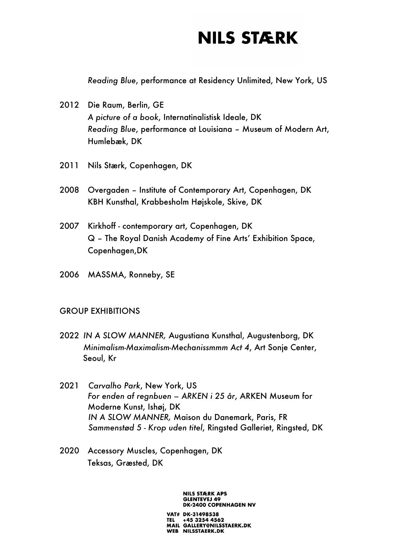*Reading Blue*, performance at Residency Unlimited, New York, US

- 2012 Die Raum, Berlin, GE *A picture of a book*, Internatinalistisk Ideale, DK *Reading Blue*, performance at Louisiana – Museum of Modern Art, Humlebæk, DK
- 2011 Nils Stærk, Copenhagen, DK
- 2008 Overgaden Institute of Contemporary Art, Copenhagen, DK KBH Kunsthal, Krabbesholm Højskole, Skive, DK
- 2007 Kirkhoff contemporary art, Copenhagen, DK Q – The Royal Danish Academy of Fine Arts' Exhibition Space, Copenhagen,DK
- 2006 MASSMA, Ronneby, SE

### GROUP EXHIBITIONS

- 2022 *IN A SLOW MANNER,* Augustiana Kunsthal, Augustenborg, DK *Minimalism-Maximalism-Mechanissmmm Act 4*, Art Sonje Center, Seoul, Kr
- 2021 *Carvalho Park*, New York, US *For enden af regnbuen – ARKEN i 25 år*, ARKEN Museum for Moderne Kunst, Ishøj, DK *IN A SLOW MANNER,* Maison du Danemark, Paris, FR  *Sammenstød 5 - Krop uden titel*, Ringsted Galleriet, Ringsted, DK
- 2020 Accessory Muscles, Copenhagen, DK Teksas, Græsted, DK

**NILS STÆRK APS GLENTEVEJ 49 DK-2400 COPENHAGEN NV** 

VAT# DK-31498538 TEL +45 3254 4562<br>MAIL GALLERY@NILSSTAERK.DK WEB NILSSTAERK.DK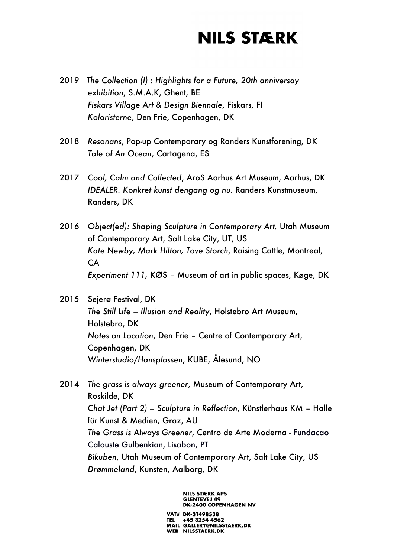- 2019 *The Collection (I) : Highlights for a Future, 20th anniversay exhibition*, S.M.A.K, Ghent, BE *Fiskars Village Art & Design Biennale*, Fiskars, FI *Koloristerne*, Den Frie, Copenhagen, DK
- 2018 *Resonans*, Pop-up Contemporary og Randers Kunstforening, DK *Tale of An Ocean*, Cartagena, ES
- 2017 *Cool, Calm and Collected*, AroS Aarhus Art Museum, Aarhus, DK *IDEALER. Konkret kunst dengang og nu.* Randers Kunstmuseum, Randers, DK
- 2016 *Object(ed): Shaping Sculpture in Contemporary Art,* Utah Museum of Contemporary Art, Salt Lake City, UT, US *Kate Newby, Mark Hilton, Tove Storch*, Raising Cattle, Montreal, CA *Experiment 111,* KØS – Museum of art in public spaces, Køge, DK
- 2015 Sejerø Festival, DK *The Still Life – Illusion and Reality*, Holstebro Art Museum, Holstebro, DK *Notes on Location*, Den Frie – Centre of Contemporary Art, Copenhagen, DK *Winterstudio/Hansplassen*, KUBE, Ålesund, NO
- 2014 *The grass is always greener*, Museum of Contemporary Art, Roskilde, DK *Chat Jet (Part 2) – Sculpture in Reflection*, Künstlerhaus KM – Halle für Kunst & Medien, Graz, AU *The Grass is Always Greener*, Centro de Arte Moderna - Fundacao Calouste Gulbenkian, Lisabon, PT *Bikuben*, Utah Museum of Contemporary Art, Salt Lake City, US *Drømmeland*, Kunsten, Aalborg, DK

**NILS STÆRK APS GLENTEVEJ 49 DK-2400 COPENHAGEN NV** 

VAT# DK-31498538 +45 3254 4562 MAIL GALLERY@NILSSTAERK.DK WEB NILSSTAERK.DK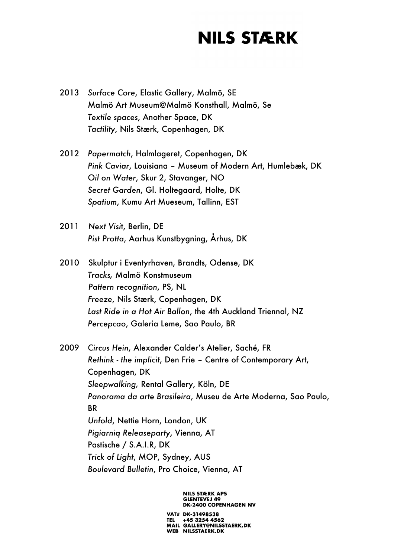- 2013 *Surface Core*, Elastic Gallery, Malmö, SE Malmö Art Museum@Malmö Konsthall, Malmö, Se *Textile spaces*, Another Space, DK *Tactility*, Nils Stærk, Copenhagen, DK
- 2012 *Papermatch*, Halmlageret, Copenhagen, DK *Pink Caviar*, Louisiana – Museum of Modern Art, Humlebæk, DK *Oil on Water*, Skur 2, Stavanger, NO *Secret Garden*, Gl. Holtegaard, Holte, DK *Spatium*, Kumu Art Mueseum, Tallinn, EST
- 2011 *Next Visi*t, Berlin, DE *Pist Protta*, Aarhus Kunstbygning, Århus, DK
- 2010 Skulptur i Eventyrhaven, Brandts, Odense, DK *Tracks,* Malmö Konstmuseum *Pattern recognition*, PS, NL *Freeze*, Nils Stærk, Copenhagen, DK *Last Ride in a Hot Air Ballon*, the 4th Auckland Triennal, NZ *Percepcao*, Galeria Leme, Sao Paulo, BR
- 2009 *Circus Hein*, Alexander Calder's Atelier, Saché, FR *Rethink - the implicit*, Den Frie – Centre of Contemporary Art, Copenhagen, DK *Sleepwalking,* Rental Gallery, Köln, DE *Panorama da arte Brasileira*, Museu de Arte Moderna, Sao Paulo, **BR** *Unfold*, Nettie Horn, London, UK *Pigiarniq Releaseparty*, Vienna, AT Pastische / S.A.I.R, DK *Trick of Light*, MOP, Sydney, AUS *Boulevard Bulletin*, Pro Choice, Vienna, AT

**NILS STÆRK APS GLENTEVEJ 49 DK-2400 COPENHAGEN NV** 

VAT# DK-31498538 TEL +45 3254 4562<br>MAIL GALLERY@NILSSTAERK.DK WEB NILSSTAERK.DK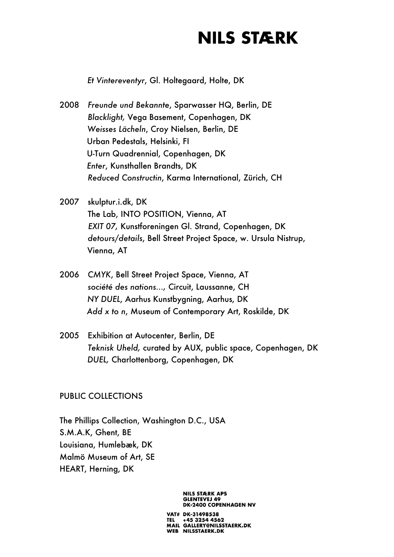*Et Vintereventyr*, Gl. Holtegaard, Holte, DK

- 2008 *Freunde und Bekannte*, Sparwasser HQ, Berlin, DE *Blacklight,* Vega Basement, Copenhagen, DK *Weisses Lächeln*, Croy Nielsen, Berlin, DE Urban Pedestals, Helsinki, FI U-Turn Quadrennial, Copenhagen, DK *Enter*, Kunsthallen Brandts, DK *Reduced Constructin*, Karma International, Zürich, CH
- 2007 skulptur.i.dk, DK The Lab, INTO POSITION, Vienna, AT *EXIT 07,* Kunstforeningen Gl. Strand, Copenhagen, DK *detours/details*, Bell Street Project Space, w. Ursula Nistrup, Vienna, AT
- 2006 *CMYK*, Bell Street Project Space, Vienna, AT *société des nations...,* Circuit, Laussanne, CH *NY DUEL*, Aarhus Kunstbygning, Aarhus, DK *Add x to n*, Museum of Contemporary Art, Roskilde, DK
- 2005 Exhibition at Autocenter, Berlin, DE *Teknisk Uheld,* curated by AUX, public space, Copenhagen, DK *DUEL,* Charlottenborg, Copenhagen, DK

#### PUBLIC COLLECTIONS

The Phillips Collection, Washington D.C., USA S.M.A.K, Ghent, BE Louisiana, Humlebæk, DK Malmö Museum of Art, SE HEART, Herning, DK

> **GLENTEVEJ 49 DK-2400 COPENHAGEN NV** VAT# DK-31498538 TEL +45 3254 4562<br>MAIL GALLERY@NILSSTAERK.DK WEB NILSSTAERK.DK

**NILS STÆRK APS**